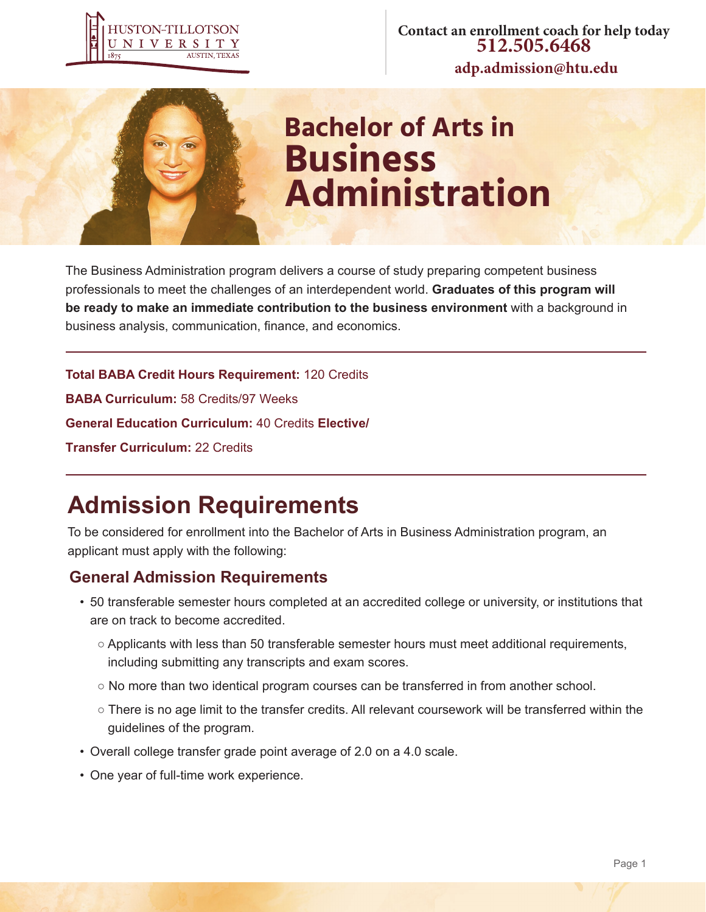

**Contact an enrollment coach for help today 512.505.6468 adp.admission@htu.edu**



# **Bachelor of Arts in Business Administration**

The Business Administration program delivers a course of study preparing competent business professionals to meet the challenges of an interdependent world. **Graduates of this program will be ready to make an immediate contribution to the business environment** with a background in business analysis, communication, finance, and economics.

**Total BABA Credit Hours Requirement:** 120 Credits **BABA Curriculum:** 58 Credits/97 Weeks **General Education Curriculum:** 40 Credits **Elective/ Transfer Curriculum:** 22 Credits

## **Admission Requirements**

To be considered for enrollment into the Bachelor of Arts in Business Administration program, an applicant must apply with the following:

### **General Admission Requirements**

- 50 transferable semester hours completed at an accredited college or university, or institutions that are on track to become accredited.
	- Applicants with less than 50 transferable semester hours must meet additional requirements, including submitting any transcripts and exam scores.
	- No more than two identical program courses can be transferred in from another school.
	- There is no age limit to the transfer credits. All relevant coursework will be transferred within the guidelines of the program.
- Overall college transfer grade point average of 2.0 on a 4.0 scale.
- One year of full-time work experience.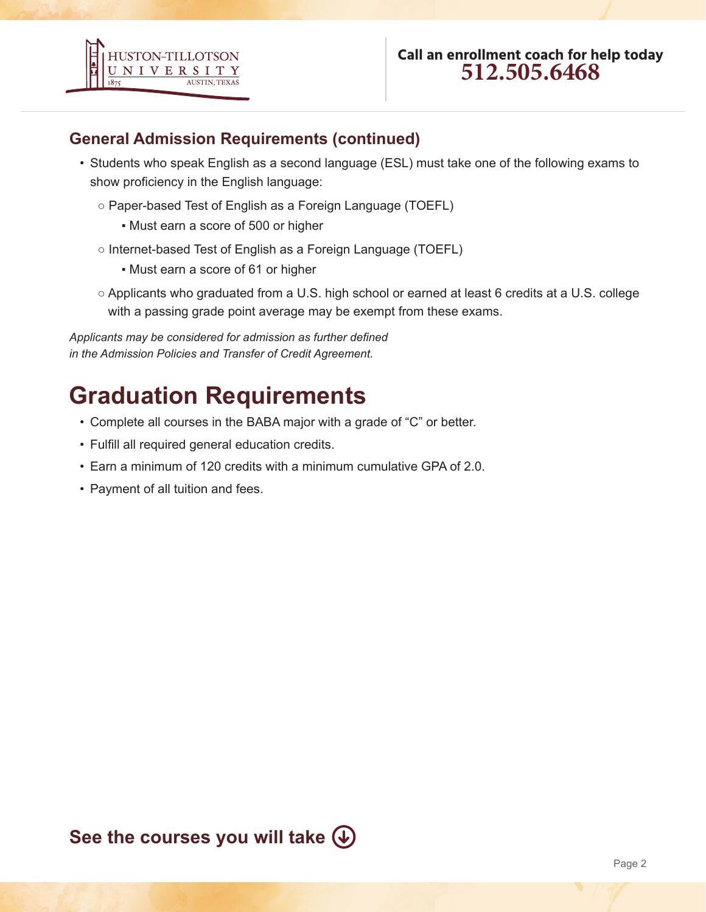

### **General Admission Requirements (continued)**

- Students who speak English as a second language (ESL) must take one of the following exams to show proficiency in the English language:
	- Paper-based Test of English as a Foreign Language (TOEFL)
		- Must earn a score of 500 or higher
	- Internet-based Test of English as a Foreign Language (TOEFL)
		- Must earn a score of 61 or higher
	- Applicants who graduated from a U.S. high school or earned at least 6 credits at a U.S. college with a passing grade point average may be exempt from these exams.

*Applicants may be considered for admission as further defined in the Admission Policies and Transfer of Credit Agreement.*

## **Graduation Requirements**

- Complete all courses in the BABA major with a grade of "C" or better.
- Fulfill all required general education credits.
- Earn a minimum of 120 credits with a minimum cumulative GPA of 2.0.
- Payment of all tuition and fees.

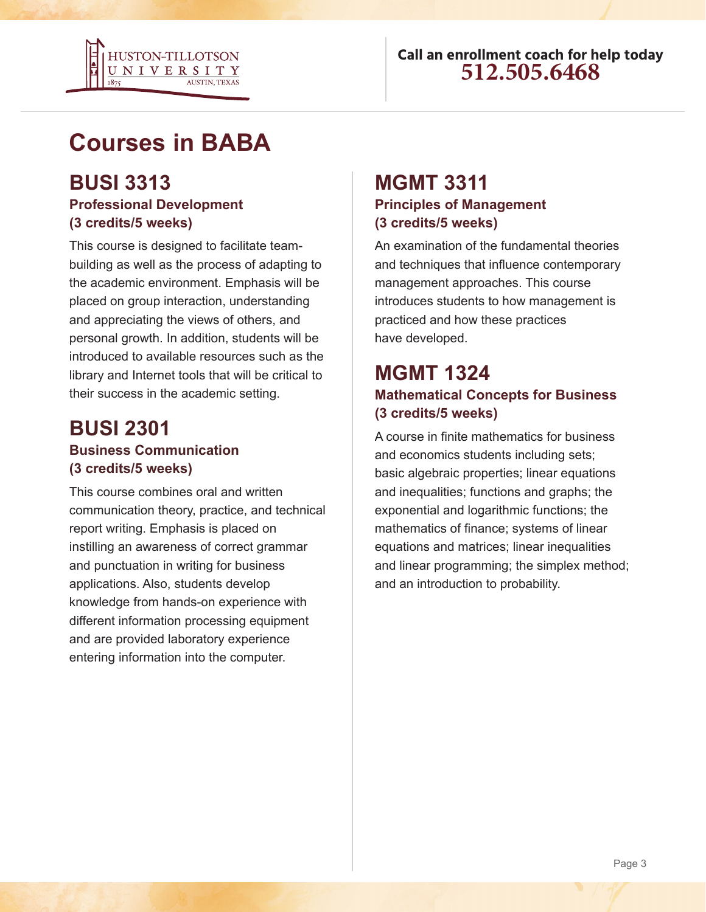

## **Courses in BABA**

### **BUSI 3313 Professional Development (3 credits/5 weeks)**

This course is designed to facilitate teambuilding as well as the process of adapting to the academic environment. Emphasis will be placed on group interaction, understanding and appreciating the views of others, and personal growth. In addition, students will be introduced to available resources such as the library and Internet tools that will be critical to their success in the academic setting.

### **BUSI 2301 Business Communication (3 credits/5 weeks)**

This course combines oral and written communication theory, practice, and technical report writing. Emphasis is placed on instilling an awareness of correct grammar and punctuation in writing for business applications. Also, students develop knowledge from hands-on experience with different information processing equipment and are provided laboratory experience entering information into the computer.

# **MGMT 3311**

### **Principles of Management (3 credits/5 weeks)**

An examination of the fundamental theories and techniques that influence contemporary management approaches. This course introduces students to how management is practiced and how these practices have developed.

### **MGMT 1324 Mathematical Concepts for Business (3 credits/5 weeks)**

A course in finite mathematics for business and economics students including sets; basic algebraic properties; linear equations and inequalities; functions and graphs; the exponential and logarithmic functions; the mathematics of finance; systems of linear equations and matrices; linear inequalities and linear programming; the simplex method; and an introduction to probability.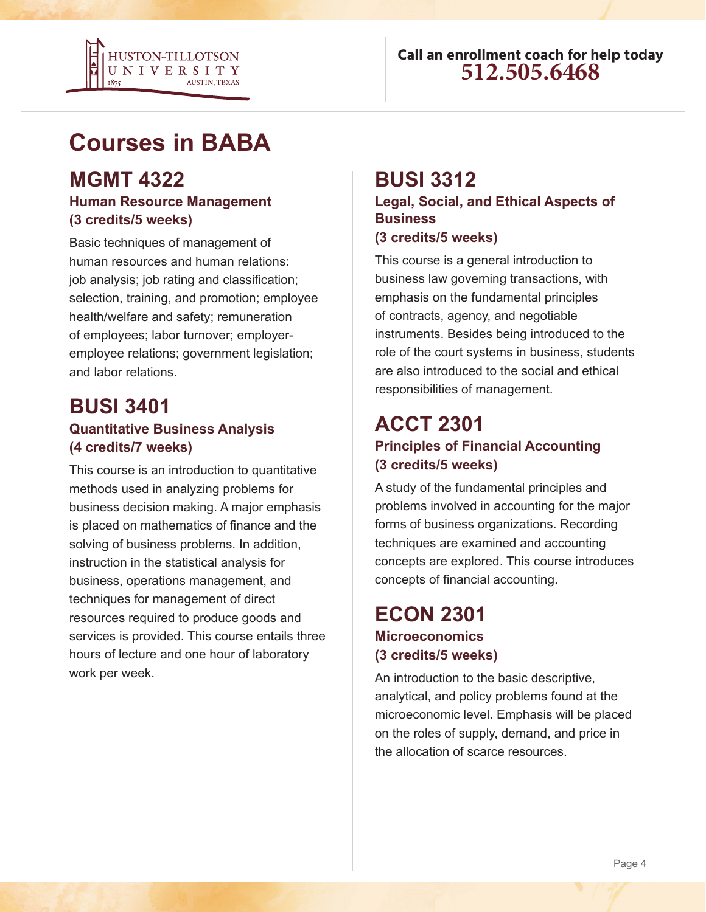

## **Courses in BABA**

### **MGMT 4322**

### **Human Resource Management (3 credits/5 weeks)**

Basic techniques of management of human resources and human relations: job analysis; job rating and classification; selection, training, and promotion; employee health/welfare and safety; remuneration of employees; labor turnover; employeremployee relations; government legislation; and labor relations.

### **BUSI 3401 Quantitative Business Analysis (4 credits/7 weeks)**

This course is an introduction to quantitative methods used in analyzing problems for business decision making. A major emphasis is placed on mathematics of finance and the solving of business problems. In addition, instruction in the statistical analysis for business, operations management, and techniques for management of direct resources required to produce goods and services is provided. This course entails three hours of lecture and one hour of laboratory work per week.

### **BUSI 3312**

**Legal, Social, and Ethical Aspects of Business (3 credits/5 weeks)**

This course is a general introduction to business law governing transactions, with emphasis on the fundamental principles of contracts, agency, and negotiable instruments. Besides being introduced to the role of the court systems in business, students are also introduced to the social and ethical responsibilities of management.

### **ACCT 2301 Principles of Financial Accounting (3 credits/5 weeks)**

A study of the fundamental principles and problems involved in accounting for the major forms of business organizations. Recording techniques are examined and accounting concepts are explored. This course introduces concepts of financial accounting.

### **ECON 2301 Microeconomics (3 credits/5 weeks)**

An introduction to the basic descriptive, analytical, and policy problems found at the microeconomic level. Emphasis will be placed on the roles of supply, demand, and price in the allocation of scarce resources.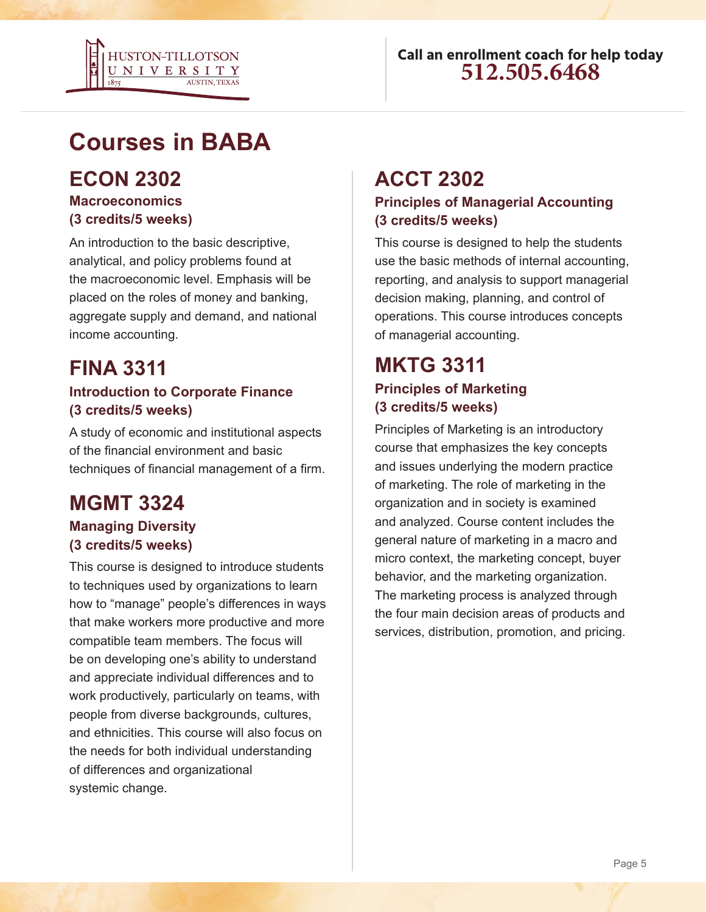

## **Courses in BABA**

### **ECON 2302**

#### **Macroeconomics (3 credits/5 weeks)**

An introduction to the basic descriptive, analytical, and policy problems found at the macroeconomic level. Emphasis will be placed on the roles of money and banking, aggregate supply and demand, and national income accounting.

### **FINA 3311**

### **Introduction to Corporate Finance (3 credits/5 weeks)**

A study of economic and institutional aspects of the financial environment and basic techniques of financial management of a firm.

## **MGMT 3324**

#### **Managing Diversity (3 credits/5 weeks)**

This course is designed to introduce students to techniques used by organizations to learn how to "manage" people's differences in ways that make workers more productive and more compatible team members. The focus will be on developing one's ability to understand and appreciate individual differences and to work productively, particularly on teams, with people from diverse backgrounds, cultures, and ethnicities. This course will also focus on the needs for both individual understanding of differences and organizational systemic change.

### **ACCT 2302**

#### **Principles of Managerial Accounting (3 credits/5 weeks)**

This course is designed to help the students use the basic methods of internal accounting, reporting, and analysis to support managerial decision making, planning, and control of operations. This course introduces concepts of managerial accounting.

### **MKTG 3311 Principles of Marketing (3 credits/5 weeks)**

Principles of Marketing is an introductory course that emphasizes the key concepts and issues underlying the modern practice of marketing. The role of marketing in the organization and in society is examined and analyzed. Course content includes the general nature of marketing in a macro and micro context, the marketing concept, buyer behavior, and the marketing organization. The marketing process is analyzed through the four main decision areas of products and services, distribution, promotion, and pricing.